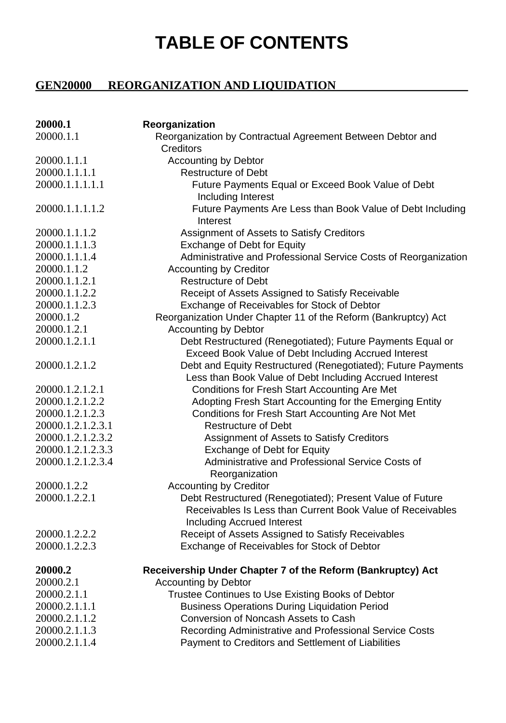## **TABLE OF CONTENTS**

## **GEN20000 REORGANIZATION AND LIQUIDATION**

| 20000.1           | Reorganization                                                  |
|-------------------|-----------------------------------------------------------------|
| 20000.1.1         | Reorganization by Contractual Agreement Between Debtor and      |
|                   | Creditors                                                       |
| 20000.1.1.1       | <b>Accounting by Debtor</b>                                     |
| 20000.1.1.1.1     | <b>Restructure of Debt</b>                                      |
| 20000.1.1.1.1.1   | Future Payments Equal or Exceed Book Value of Debt              |
|                   | Including Interest                                              |
| 20000.1.1.1.1.2   | Future Payments Are Less than Book Value of Debt Including      |
|                   | Interest                                                        |
| 20000.1.1.1.2     | Assignment of Assets to Satisfy Creditors                       |
| 20000.1.1.1.3     | Exchange of Debt for Equity                                     |
| 20000.1.1.1.4     | Administrative and Professional Service Costs of Reorganization |
| 20000.1.1.2       | <b>Accounting by Creditor</b>                                   |
| 20000.1.1.2.1     | Restructure of Debt                                             |
| 20000.1.1.2.2     | Receipt of Assets Assigned to Satisfy Receivable                |
| 20000.1.1.2.3     | Exchange of Receivables for Stock of Debtor                     |
| 20000.1.2         | Reorganization Under Chapter 11 of the Reform (Bankruptcy) Act  |
| 20000.1.2.1       | <b>Accounting by Debtor</b>                                     |
| 20000.1.2.1.1     | Debt Restructured (Renegotiated); Future Payments Equal or      |
|                   | Exceed Book Value of Debt Including Accrued Interest            |
| 20000.1.2.1.2     | Debt and Equity Restructured (Renegotiated); Future Payments    |
|                   | Less than Book Value of Debt Including Accrued Interest         |
| 20000.1.2.1.2.1   | Conditions for Fresh Start Accounting Are Met                   |
| 20000.1.2.1.2.2   | Adopting Fresh Start Accounting for the Emerging Entity         |
| 20000.1.2.1.2.3   | Conditions for Fresh Start Accounting Are Not Met               |
| 20000.1.2.1.2.3.1 | <b>Restructure of Debt</b>                                      |
| 20000.1.2.1.2.3.2 | Assignment of Assets to Satisfy Creditors                       |
| 20000.1.2.1.2.3.3 | Exchange of Debt for Equity                                     |
| 20000.1.2.1.2.3.4 | Administrative and Professional Service Costs of                |
|                   | Reorganization                                                  |
| 20000.1.2.2       | <b>Accounting by Creditor</b>                                   |
| 20000.1.2.2.1     | Debt Restructured (Renegotiated); Present Value of Future       |
|                   | Receivables Is Less than Current Book Value of Receivables      |
|                   | Including Accrued Interest                                      |
| 20000.1.2.2.2     | Receipt of Assets Assigned to Satisfy Receivables               |
| 20000.1.2.2.3     | Exchange of Receivables for Stock of Debtor                     |
| 20000.2           | Receivership Under Chapter 7 of the Reform (Bankruptcy) Act     |
| 20000.2.1         | <b>Accounting by Debtor</b>                                     |
| 20000.2.1.1       | Trustee Continues to Use Existing Books of Debtor               |
| 20000.2.1.1.1     | <b>Business Operations During Liquidation Period</b>            |
| 20000.2.1.1.2     | Conversion of Noncash Assets to Cash                            |
| 20000.2.1.1.3     | Recording Administrative and Professional Service Costs         |
| 20000.2.1.1.4     | Payment to Creditors and Settlement of Liabilities              |